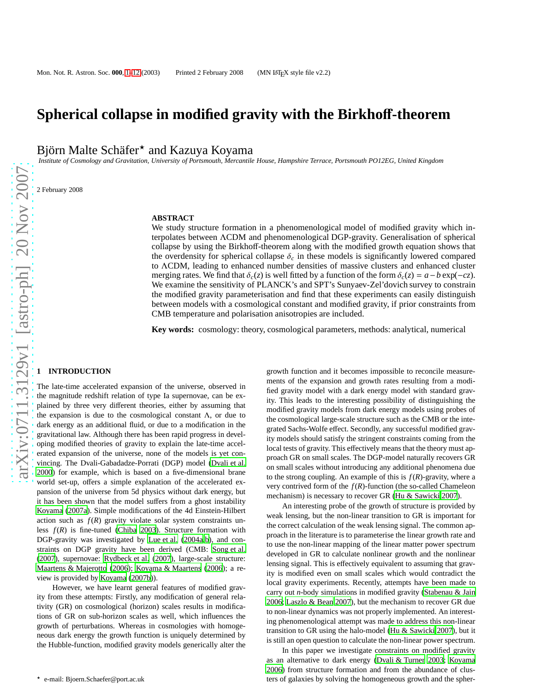# **Spherical collapse in modified gravity with the Birkho**ff**-theorem**

Björn Malte Schäfer<sup>\*</sup> and Kazuya Koyama

*Institute of Cosmology and Gravitation, University of Portsmouth, Mercantile House, Hampshire Terrace, Portsmouth PO12EG, United Kingdom*

2 February 2008

## **ABSTRACT**

We study structure formation in a phenomenological model of modified gravity which interpolates between ΛCDM and phenomenological DGP-gravity. Generalisation of spherical collapse by using the Birkhoff-theorem along with the modified growth equation shows that the overdensity for spherical collapse  $\delta_c$  in these models is significantly lowered compared to ΛCDM, leading to enhanced number densities of massive clusters and enhanced cluster merging rates. We find that  $\delta_c(z)$  is well fitted by a function of the form  $\delta_c(z) = a - b \exp(-cz)$ . We examine the sensitivity of PLANCK's and SPT's Sunyaev-Zel'dovich survey to constrain the modified gravity parameterisation and find that these experiments can easily distinguish between models with a cosmological constant and modified gravity, if prior constraints from CMB temperature and polarisation anisotropies are included.

**Key words:** cosmology: theory, cosmological parameters, methods: analytical, numerical

# **1 INTRODUCTION**

The late-time accelerated expansion of the universe, observed in the magnitude redshift relation of type Ia supernovae, can be explained by three very different theories, either by assuming that the expansion is due to the cosmological constant Λ, or due to dark energy as an additional fluid, or due to a modification in the gravitational law. Although there has been rapid progress in developing modified theories of gravity to explain the late-time accelerated expansion of the universe, none of the models is yet convincing. The Dvali-Gabadadze-Porrati (DGP) model [\(Dvali et al.](#page-9-0) [2000\)](#page-9-0) for example, which is based on a five-dimensional brane world set-up, offers a simple explanation of the accelerated expansion of the universe from 5d physics without dark energy, but it has been shown that the model suffers from a ghost instability [Koyama \(2007a\)](#page-9-1). Simple modifications of the 4d Einstein-Hilbert action such as  $f(R)$  gravity violate solar system constraints unless *f*(*R*) is fine-tuned [\(Chiba 2003\)](#page-9-2). Structure formation with DGP-gravity was investigated by [Lue et al. \(2004a](#page-9-3)[,b](#page-9-4)), and constraints on DGP gravity have been derived (CMB: [Song et al.](#page-9-5) [\(2007\)](#page-9-5), supernovae: [Rydbeck et al.](#page-9-6) [\(2007](#page-9-6)), large-scale structure: [Maartens & Majerotto](#page-9-7) [\(2006\)](#page-9-7); [Koyama & Maartens \(2006\)](#page-9-8); a review is provided by [Koyama \(2007b](#page-9-9))).

However, we have learnt general features of modified gravity from these attempts: Firstly, any modification of general relativity (GR) on cosmological (horizon) scales results in modifications of GR on sub-horizon scales as well, which influences the growth of perturbations. Whereas in cosmologies with homogeneous dark energy the growth function is uniquely determined by the Hubble-function, modified gravity models generically alter the ments of the expansion and growth rates resulting from a modified gravity model with a dark energy model with standard gravity. This leads to the interesting possibility of distinguishing the modified gravity models from dark energy models using probes of the cosmological large-scale structure such as the CMB or the integrated Sachs-Wolfe effect. Secondly, any successful modified gravity models should satisfy the stringent constraints coming from the local tests of gravity. This effectively means that the theory must approach GR on small scales. The DGP-model naturally recovers GR on small scales without introducing any additional phenomena due to the strong coupling. An example of this is  $f(R)$ -gravity, where a very contrived form of the  $f(R)$ -function (the so-called Chameleon mechanism) is necessary to recover GR [\(Hu & Sawicki 2007](#page-9-10)). An interesting probe of the growth of structure is provided by

growth function and it becomes impossible to reconcile measure-

weak lensing, but the non-linear transition to GR is important for the correct calculation of the weak lensing signal. The common approach in the literature is to parameterise the linear growth rate and to use the non-linear mapping of the linear matter power spectrum developed in GR to calculate nonlinear growth and the nonlinear lensing signal. This is effectively equivalent to assuming that gravity is modified even on small scales which would contradict the local gravity experiments. Recently, attempts have been made to carry out *n*-body simulations in modified gravity [\(Stabenau & Jain](#page-9-11) [2006](#page-9-11); [Laszlo & Bean 2007\)](#page-9-12), but the mechanism to recover GR due to non-linear dynamics was not properly implemented. An interesting phenomenological attempt was made to address this non-linear transition to GR using the halo-model [\(Hu & Sawicki 2007](#page-9-10)), but it is still an open question to calculate the non-linear power spectrum.

In this paper we investigate constraints on modified gravity as an alternative to dark energy [\(Dvali & Turner 2003;](#page-9-13) [Koyama](#page-9-14) [2006](#page-9-14)) from structure formation and from the abundance of clusters of galaxies by solving the homogeneous growth and the spher-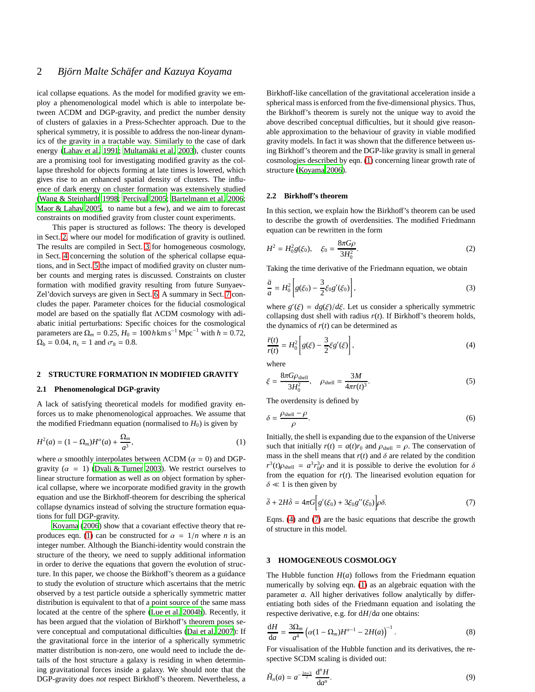# 2 Björn Malte Schäfer and Kazuya Koyama

ical collapse equations. As the model for modified gravity we employ a phenomenological model which is able to interpolate between ΛCDM and DGP-gravity, and predict the number density of clusters of galaxies in a Press-Schechter approach. Due to the spherical symmetry, it is possible to address the non-linear dynamics of the gravity in a tractable way. Similarly to the case of dark energy [\(Lahav et al. 1991;](#page-9-15) Multamäki et al. 2003), cluster counts are a promising tool for investigating modified gravity as the collapse threshold for objects forming at late times is lowered, which gives rise to an enhanced spatial density of clusters. The influence of dark energy on cluster formation was extensively studied [\(Wang & Steinhardt 1998](#page-9-17); [Percival 2005](#page-9-18); [Bartelmann et al. 2006;](#page-9-19) [Maor & Lahav 2005,](#page-9-20) to name but a few), and we aim to forecast constraints on modified gravity from cluster count experiments.

This paper is structured as follows: The theory is developed in Sect. [2,](#page-1-0) where our model for modification of gravity is outlined. The results are compiled in Sect. [3](#page-1-1) for homogeneous cosmology, in Sect. [4](#page-3-0) concerning the solution of the spherical collapse equations, and in Sect. [5](#page-4-0) the impact of modified gravity on cluster number counts and merging rates is discussed. Constraints on cluster formation with modified gravity resulting from future Sunyaev-Zel'dovich surveys are given in Sect. [6.](#page-5-0) A summary in Sect. [7](#page-8-0) concludes the paper. Parameter choices for the fiducial cosmological model are based on the spatially flat ΛCDM cosmology with adiabatic initial perturbations: Specific choices for the cosmological parameters are  $\Omega_m = 0.25$ ,  $H_0 = 100$  *h* km s<sup>-1</sup> Mpc<sup>-1</sup> with  $h = 0.72$ ,  $\Omega_b = 0.04$ ,  $n_s = 1$  and  $\sigma_8 = 0.8$ .

#### <span id="page-1-0"></span>**2 STRUCTURE FORMATION IN MODIFIED GRAVITY**

## **2.1 Phenomenological DGP-gravity**

A lack of satisfying theoretical models for modified gravity enforces us to make phenomenological approaches. We assume that the modified Friedmann equation (normalised to  $H_0$ ) is given by

<span id="page-1-2"></span>
$$
H^{2}(a) = (1 - \Omega_{m})H^{\alpha}(a) + \frac{\Omega_{m}}{a^{3}},
$$
\n(1)

where  $\alpha$  smoothly interpolates between  $\Lambda$ CDM ( $\alpha = 0$ ) and DGPgravity ( $\alpha = 1$ ) [\(Dvali & Turner 2003\)](#page-9-13). We restrict ourselves to linear structure formation as well as on object formation by spherical collapse, where we incorporate modified gravity in the growth equation and use the Birkhoff-theorem for describing the spherical collapse dynamics instead of solving the structure formation equations for full DGP-gravity.

[Koyama \(2006](#page-9-14)) show that a covariant effective theory that re-produces eqn. [\(1\)](#page-1-2) can be constructed for  $\alpha = 1/n$  where *n* is an integer number. Although the Bianchi-identity would constrain the structure of the theory, we need to supply additional information in order to derive the equations that govern the evolution of structure. In this paper, we choose the Birkhoff's theorem as a guidance to study the evolution of structure which ascertains that the metric observed by a test particle outside a spherically symmetric matter distribution is equivalent to that of a point source of the same mass located at the centre of the sphere [\(Lue et al. 2004b](#page-9-4)). Recently, it has been argued that the violation of Birkhoff's theorem poses severe conceptual and computational difficulties [\(Dai et al. 2007](#page-9-21)): If the gravitational force in the interior of a spherically symmetric matter distribution is non-zero, one would need to include the details of the host structure a galaxy is residing in when determining gravitational forces inside a galaxy. We should note that the DGP-gravity does *not* respect Birkhoff's theorem. Nevertheless, a

Birkhoff-like cancellation of the gravitational acceleration inside a spherical mass is enforced from the five-dimensional physics. Thus, the Birkhoff's theorem is surely not the unique way to avoid the above described conceptual difficulties, but it should give reasonable approximation to the behaviour of gravity in viable modified gravity models. In fact it was shown that the difference between using Birkhoff's theorem and the DGP-like gravity is small in general cosmologies described by eqn. [\(1\)](#page-1-2) concerning linear growth rate of structure [\(Koyama 2006\)](#page-9-14).

## **2.2 Birkho**ff**'s theorem**

In this section, we explain how the Birkhoff's theorem can be used to describe the growth of overdensities. The modified Friedmann equation can be rewritten in the form

$$
H^2 = H_0^2 g(\xi_0), \quad \xi_0 = \frac{8\pi G\rho}{3H_0^2}.
$$
 (2)

Taking the time derivative of the Friedmann equation, we obtain

<span id="page-1-5"></span>
$$
\frac{\ddot{a}}{a} = H_0^2 \left[ g(\xi_0) - \frac{3}{2} \xi_0 g'(\xi_0) \right],\tag{3}
$$

where  $g'(\xi) = dg(\xi)/d\xi$ . Let us consider a spherically symmetric collapsing dust shell with radius  $r(t)$ . If Birkhoff's theorem holds, the dynamics of  $r(t)$  can be determined as

<span id="page-1-3"></span>
$$
\frac{\ddot{r}(t)}{r(t)} = H_0^2 \left[ g(\xi) - \frac{3}{2} \xi g'(\xi) \right],\tag{4}
$$

where

$$
\xi = \frac{8\pi G \rho_{\text{shell}}}{3H_0^2}, \quad \rho_{\text{shell}} = \frac{3M}{4\pi r(t)^3}.
$$
 (5)

The overdensity is defined by

$$
\delta = \frac{\rho_{\text{shell}} - \rho}{\rho}.\tag{6}
$$

Initially, the shell is expanding due to the expansion of the Universe such that initially  $r(t) = a(t)r_0$  and  $\rho_{shell} = \rho$ . The conservation of mass in the shell means that  $r(t)$  and  $\delta$  are related by the condition  $r^3(t)\rho_{\text{shell}} = a^3 r_0^3 \rho$  and it is possible to derive the evolution for  $\delta$ from the equation for  $r(t)$ . The linearised evolution equation for  $\delta \ll 1$  is then given by

<span id="page-1-4"></span>
$$
\ddot{\delta} + 2H\dot{\delta} = 4\pi G \Big[ g'(\xi_0) + 3\xi_0 g''(\xi_0) \Big] \rho \delta. \tag{7}
$$

Eqns. [\(4\)](#page-1-3) and [\(7\)](#page-1-4) are the basic equations that describe the growth of structure in this model.

#### <span id="page-1-1"></span>**3 HOMOGENEOUS COSMOLOGY**

The Hubble function  $H(a)$  follows from the Friedmann equation numerically by solving eqn. [\(1\)](#page-1-2) as an algebraic equation with the parameter *a*. All higher derivatives follow analytically by differentiating both sides of the Friedmann equation and isolating the respective derivative, e.g. for d*H*/d*a* one obtains:

$$
\frac{\mathrm{d}H}{\mathrm{d}a} = \frac{3\Omega_m}{a^4} \left( \alpha (1 - \Omega_m) H^{\alpha - 1} - 2H(a) \right)^{-1} . \tag{8}
$$

For visualisation of the Hubble function and its derivatives, the respective SCDM scaling is divided out:

$$
\tilde{H}_n(a) = a^{-\frac{2n+3}{2}} \frac{d^n H}{da^n}.
$$
\n(9)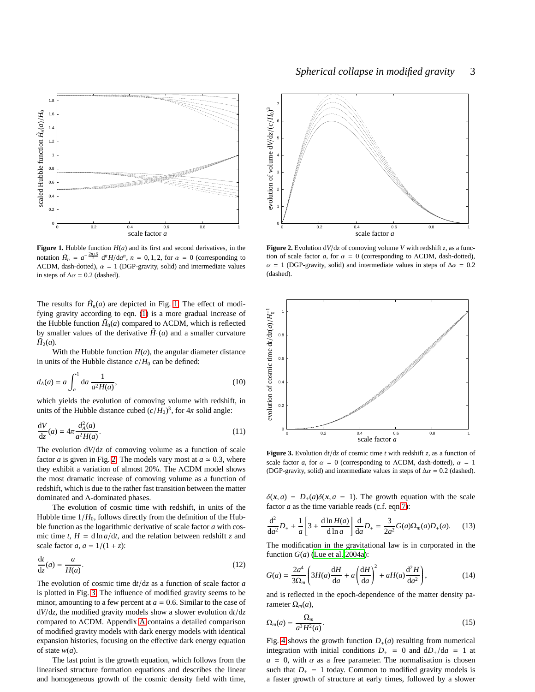

<span id="page-2-0"></span>**Figure 1.** Hubble function  $H(a)$  and its first and second derivatives, in the notation  $\tilde{H}_n = a^{-\frac{2n+3}{2}} d^n H/da^n$ ,  $n = 0, 1, 2$ , for  $\alpha = 0$  (corresponding to  $\Lambda$ CDM, dash-dotted),  $\alpha = 1$  (DGP-gravity, solid) and intermediate values in steps of  $\Delta \alpha = 0.2$  (dashed).

The results for  $\tilde{H}_n(a)$  are depicted in Fig. [1.](#page-2-0) The effect of modifying gravity according to eqn. [\(1\)](#page-1-2) is a more gradual increase of the Hubble function  $H_0(a)$  compared to  $\Lambda$ CDM, which is reflected by smaller values of the derivative  $H_1(a)$  and a smaller curvature  $\tilde{H}_2(a)$ .

With the Hubble function  $H(a)$ , the angular diameter distance in units of the Hubble distance  $c/H_0$  can be defined:

$$
d_A(a) = a \int_a^1 da \frac{1}{a^2 H(a)},
$$
\n(10)

which yields the evolution of comoving volume with redshift, in units of the Hubble distance cubed  $(c/H_0)^3$ , for  $4\pi$  solid angle:

$$
\frac{\mathrm{d}V}{\mathrm{d}z}(a) = 4\pi \frac{d_A^2(a)}{a^2 H(a)}.\tag{11}
$$

The evolution d*V*/d*z* of comoving volume as a function of scale factor *a* is given in Fig. [2.](#page-2-1) The models vary most at  $a \approx 0.3$ , where they exhibit a variation of almost 20%. The ΛCDM model shows the most dramatic increase of comoving volume as a function of redshift, which is due to the rather fast transition between the matter dominated and Λ-dominated phases.

The evolution of cosmic time with redshift, in units of the Hubble time  $1/H_0$ , follows directly from the definition of the Hubble function as the logarithmic derivative of scale factor *a* with cosmic time  $t$ ,  $H = d \ln a/dt$ , and the relation between redshift *z* and scale factor  $a$ ,  $a = 1/(1 + z)$ :

$$
\frac{\mathrm{d}t}{\mathrm{d}z}(a) = \frac{a}{H(a)}.\tag{12}
$$

The evolution of cosmic time d*t*/d*z* as a function of scale factor *a* is plotted in Fig. [3.](#page-2-2) The influence of modified gravity seems to be minor, amounting to a few percent at  $a = 0.6$ . Similar to the case of d*V*/d*z*, the modified gravity models show a slower evolution d*t*/d*z* compared to ΛCDM. Appendix [A](#page-9-22) contains a detailed comparison of modified gravity models with dark energy models with identical expansion histories, focusing on the effective dark energy equation of state *w*(*a*).

The last point is the growth equation, which follows from the linearised structure formation equations and describes the linear and homogeneous growth of the cosmic density field with time,



<span id="page-2-1"></span>**Figure 2.** Evolution d*V*/d*z* of comoving volume *V* with redshift *z*, as a function of scale factor *a*, for  $\alpha = 0$  (corresponding to  $\Lambda$ CDM, dash-dotted),  $\alpha$  = 1 (DGP-gravity, solid) and intermediate values in steps of  $\Delta \alpha$  = 0.2 (dashed).



<span id="page-2-2"></span>**Figure 3.** Evolution  $dt/dz$  of cosmic time *t* with redshift *z*, as a function of scale factor *a*, for  $\alpha = 0$  (corresponding to  $\Lambda$ CDM, dash-dotted),  $\alpha = 1$ (DGP-gravity, solid) and intermediate values in steps of  $\Delta \alpha = 0.2$  (dashed).

 $\delta(x, a) = D_+(a)\delta(x, a = 1)$ . The growth equation with the scale factor  $a$  as the time variable reads (c.f. eqn [7\)](#page-1-4):

<span id="page-2-3"></span>
$$
\frac{d^2}{da^2}D_+ + \frac{1}{a}\left[3 + \frac{d\ln H(a)}{d\ln a}\right]\frac{d}{da}D_+ = \frac{3}{2a^2}G(a)\Omega_m(a)D_+(a). \tag{13}
$$

The modification in the gravitational law is in corporated in the function  $G(a)$  [\(Lue et al. 2004a](#page-9-3)):

$$
G(a) = \frac{2a^4}{3\Omega_m} \left( 3H(a)\frac{dH}{da} + a\left(\frac{dH}{da}\right)^2 + aH(a)\frac{d^2H}{da^2} \right),\tag{14}
$$

and is reflected in the epoch-dependence of the matter density parameter Ω*m*(*a*),

<span id="page-2-4"></span>
$$
\Omega_m(a) = \frac{\Omega_m}{a^3 H^2(a)}.\tag{15}
$$

Fig. [4](#page-3-1) shows the growth function  $D_+(a)$  resulting from numerical integration with initial conditions  $D_{+} = 0$  and  $dD_{+}/da = 1$  at  $a = 0$ , with  $\alpha$  as a free parameter. The normalisation is chosen such that  $D_+ = 1$  today. Common to modified gravity models is a faster growth of structure at early times, followed by a slower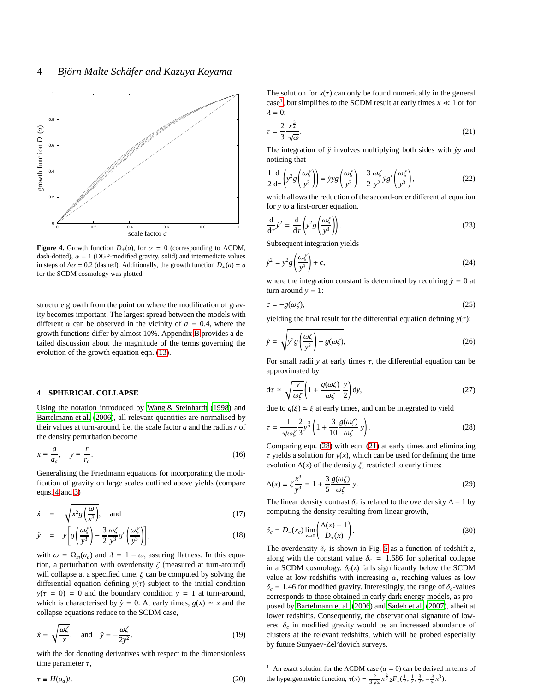

<span id="page-3-1"></span>**Figure 4.** Growth function  $D_+(a)$ , for  $\alpha = 0$  (corresponding to  $\Lambda$ CDM, dash-dotted),  $\alpha = 1$  (DGP-modified gravity, solid) and intermediate values in steps of  $\Delta \alpha = 0.2$  (dashed). Additionally, the growth function  $D_+(a) = a$ for the SCDM cosmology was plotted.

structure growth from the point on where the modification of gravity becomes important. The largest spread between the models with different  $\alpha$  can be observed in the vicinity of  $a = 0.4$ , where the growth functions differ by almost 10%. Appendix [B](#page-10-0) provides a detailed discussion about the magnitude of the terms governing the evolution of the growth equation eqn. [\(13\)](#page-2-3).

## <span id="page-3-0"></span>**4 SPHERICAL COLLAPSE**

Using the notation introduced by [Wang & Steinhardt \(1998\)](#page-9-17) and [Bartelmann et al. \(2006](#page-9-19)), all relevant quantities are normalised by their values at turn-around, i.e. the scale factor *a* and the radius *r* of the density perturbation become

$$
x \equiv \frac{a}{a_a}, \quad y \equiv \frac{r}{r_a}.
$$
 (16)

Generalising the Friedmann equations for incorporating the modification of gravity on large scales outlined above yields (compare eqns. [4](#page-1-3) and [3\)](#page-1-5)

<span id="page-3-5"></span>
$$
\dot{x} = \sqrt{x^2 g \left(\frac{\omega}{x^3}\right)}, \text{ and } (17)
$$

$$
\ddot{y} = y \left[ g \left( \frac{\omega \zeta}{y^3} \right) - \frac{3}{2} \frac{\omega \zeta}{y^3} g' \left( \frac{\omega \zeta}{y^3} \right) \right],
$$
\n(18)

with  $\omega = \Omega_m(a_a)$  and  $\lambda = 1 - \omega$ , assuring flatness. In this equation, a perturbation with overdensity  $\zeta$  (measured at turn-around) will collapse at a specified time.  $\zeta$  can be computed by solving the differential equation defining  $y(\tau)$  subject to the initial condition  $y(\tau = 0) = 0$  and the boundary condition  $y = 1$  at turn-around, which is characterised by  $\dot{y} = 0$ . At early times,  $g(x) \approx x$  and the collapse equations reduce to the SCDM case,

$$
\dot{x} = \sqrt{\frac{\omega \zeta}{x}}, \quad \text{and} \quad \ddot{y} = -\frac{\omega \zeta}{2y^2}.
$$
 (19)

with the dot denoting derivatives with respect to the dimensionless time parameter  $\tau$ ,

$$
\tau \equiv H(a_a)t. \tag{20}
$$

The solution for  $x(\tau)$  can only be found numerically in the general case<sup>[1](#page-3-2)</sup>, but simplifies to the SCDM result at early times  $x \ll 1$  or for  $\lambda = 0$ :

<span id="page-3-4"></span>
$$
\tau = \frac{2}{3} \frac{x^{\frac{3}{2}}}{\sqrt{\omega}}.\tag{21}
$$

The integration of  $\ddot{y}$  involves multiplying both sides with  $\dot{y}y$  and noticing that

$$
\frac{1}{2}\frac{d}{d\tau}\left(y^2g\left(\frac{\omega\zeta}{y^3}\right)\right) = \dot{y}yg\left(\frac{\omega\zeta}{y^3}\right) - \frac{3}{2}\frac{\omega\zeta}{y^2}\dot{y}g'\left(\frac{\omega\zeta}{y^3}\right),\tag{22}
$$

which allows the reduction of the second-order differential equation for *y* to a first-order equation,

$$
\frac{d}{d\tau}\dot{y}^2 = \frac{d}{d\tau}\left(y^2 g\left(\frac{\omega\zeta}{y^3}\right)\right).
$$
 (23)

Subsequent integration yields

<span id="page-3-6"></span>
$$
\dot{y}^2 = y^2 g \left(\frac{\omega \zeta}{y^3}\right) + c,\tag{24}
$$

where the integration constant is determined by requiring  $\dot{y} = 0$  at turn around  $y = 1$ :

$$
c = -g(\omega \zeta),\tag{25}
$$

yielding the final result for the differential equation defining  $y(\tau)$ :

$$
\dot{y} = \sqrt{y^2 g \left(\frac{\omega \zeta}{y^3}\right) - g(\omega \zeta)},\tag{26}
$$

For small radii *y* at early times  $\tau$ , the differential equation can be approximated by

$$
d\tau \simeq \sqrt{\frac{y}{\omega \zeta}} \left( 1 + \frac{g(\omega \zeta)}{\omega \zeta} \frac{y}{2} \right) dy, \tag{27}
$$

due to  $g(\xi) \simeq \xi$  at early times, and can be integrated to yield

<span id="page-3-3"></span>
$$
\tau = \frac{1}{\sqrt{\omega\zeta}} \frac{2}{3} y^{\frac{3}{2}} \left( 1 + \frac{3}{10} \frac{g(\omega\zeta)}{\omega\zeta} y \right). \tag{28}
$$

Comparing eqn. [\(28\)](#page-3-3) with eqn. [\(21\)](#page-3-4) at early times and eliminating  $\tau$  yields a solution for  $y(x)$ , which can be used for defining the time evolution  $\Delta(x)$  of the density  $\zeta$ , restricted to early times:

$$
\Delta(x) \equiv \zeta \frac{x^3}{y^3} = 1 + \frac{3}{5} \frac{g(\omega \zeta)}{\omega \zeta} y.
$$
 (29)

The linear density contrast  $\delta_c$  is related to the overdensity  $\Delta - 1$  by computing the density resulting from linear growth,

$$
\delta_c = D_+(x_c) \lim_{x \to 0} \left( \frac{\Delta(x) - 1}{D_+(x)} \right). \tag{30}
$$

The overdensity  $\delta_c$  is shown in Fig. [5](#page-4-1) as a function of redshift *z*, along with the constant value  $\delta_c = 1.686$  for spherical collapse in a SCDM cosmology.  $\delta_c(z)$  falls significantly below the SCDM value at low redshifts with increasing  $\alpha$ , reaching values as low  $\delta_c = 1.46$  for modified gravity. Interestingly, the range of  $\delta_c$ -values corresponds to those obtained in early dark energy models, as proposed by [Bartelmann et al. \(2006\)](#page-9-19) and [Sadeh et al.](#page-9-23) [\(2007](#page-9-23)), albeit at lower redshifts. Consequently, the observational signature of lowered  $\delta_c$  in modified gravity would be an increased abundance of clusters at the relevant redshifts, which will be probed especially by future Sunyaev-Zel'dovich surveys.

<span id="page-3-2"></span><sup>1</sup> An exact solution for the  $\Lambda$ CDM case ( $\alpha = 0$ ) can be derived in terms of the hypergeometric function,  $\tau(x) = \frac{2}{3\sqrt{\omega}} x^{\frac{3}{2}} {}_2F_1(\frac{1}{2}, \frac{1}{2}, \frac{3}{2}, -\frac{\lambda}{\omega}x^3)$ .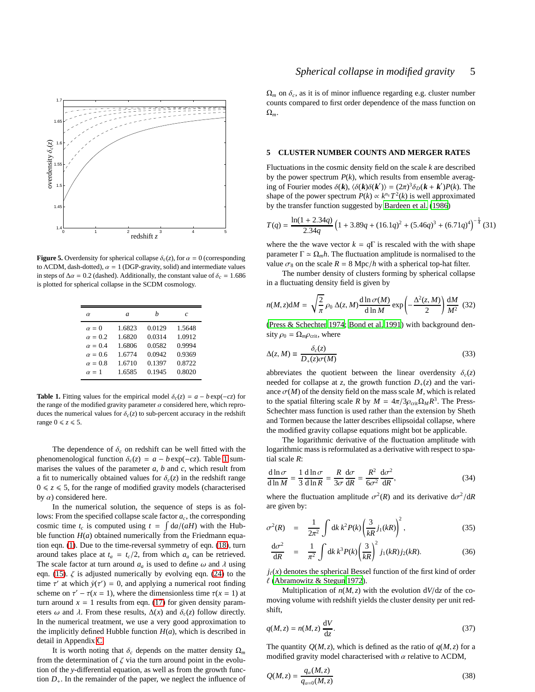

<span id="page-4-1"></span>**Figure 5.** Overdensity for spherical collapse  $\delta_c(z)$ , for  $\alpha = 0$  (corresponding to  $\Lambda$ CDM, dash-dotted),  $\alpha = 1$  (DGP-gravity, solid) and intermediate values in steps of  $\Delta \alpha = 0.2$  (dashed). Additionally, the constant value of  $\delta_c = 1.686$ is plotted for spherical collapse in the SCDM cosmology.

| $\alpha$       | a      | h      | c      |
|----------------|--------|--------|--------|
| $\alpha = 0$   | 1.6823 | 0.0129 | 1.5648 |
| $\alpha = 0.2$ | 1.6820 | 0.0314 | 1.0912 |
| $\alpha = 0.4$ | 1.6806 | 0.0582 | 0.9994 |
| $\alpha = 0.6$ | 1.6774 | 0.0942 | 0.9369 |
| $\alpha = 0.8$ | 1.6710 | 0.1397 | 0.8722 |
| $\alpha = 1$   | 1.6585 | 0.1945 | 0.8020 |

<span id="page-4-2"></span>**Table 1.** Fitting values for the empirical model  $\delta_c(z) = a - b \exp(-cz)$  for the range of the modified gravity parameter  $\alpha$  considered here, which reproduces the numerical values for  $\delta_c(z)$  to sub-percent accuracy in the redshift range  $0 \le z \le 5$ .

The dependence of  $\delta_c$  on redshift can be well fitted with the phenomenological function  $\delta_c(z) = a - b \exp(-cz)$ . Table [1](#page-4-2) summarises the values of the parameter *a*, *b* and *c*, which result from a fit to numerically obtained values for  $\delta_c(z)$  in the redshift range  $0 \le z \le 5$ , for the range of modified gravity models (characterised by  $\alpha$ ) considered here.

In the numerical solution, the sequence of steps is as follows: From the specified collapse scale factor *ac*, the corresponding cosmic time  $t_c$  is computed using  $t = \int da/(aH)$  with the Hubble function  $H(a)$  obtained numerically from the Friedmann equation eqn. [\(1\)](#page-1-2). Due to the time-reversal symmetry of eqn. [\(18\)](#page-3-5), turn around takes place at  $t_a = t_c/2$ , from which  $a_a$  can be retrieved. The scale factor at turn around  $a_a$  is used to define  $\omega$  and  $\lambda$  using eqn. [\(15\)](#page-2-4).  $\zeta$  is adjusted numerically by evolving eqn. [\(24\)](#page-3-6) to the time  $\tau'$  at which  $\dot{y}(\tau') = 0$ , and applying a numerical root finding scheme on  $\tau' - \tau(x = 1)$ , where the dimensionless time  $\tau(x = 1)$  at turn around  $x = 1$  results from eqn. [\(17\)](#page-3-5) for given density parameters  $\omega$  and  $\lambda$ . From these results,  $\Delta(x)$  and  $\delta_c(z)$  follow directly. In the numerical treatment, we use a very good approximation to the implicitly defined Hubble function  $H(a)$ , which is described in detail in Appendix [C.](#page-10-1)

It is worth noting that  $\delta_c$  depends on the matter density  $\Omega_m$ from the determination of  $\zeta$  via the turn around point in the evolution of the *y*-differential equation, as well as from the growth function  $D_{+}$ . In the remainder of the paper, we neglect the influence of  $\Omega_m$  on  $\delta_c$ , as it is of minor influence regarding e.g. cluster number counts compared to first order dependence of the mass function on Ω*m*.

#### <span id="page-4-0"></span>**5 CLUSTER NUMBER COUNTS AND MERGER RATES**

Fluctuations in the cosmic density field on the scale *k* are described by the power spectrum  $P(k)$ , which results from ensemble averaging of Fourier modes  $\delta(\mathbf{k})$ ,  $\langle \delta(\mathbf{k})\delta(\mathbf{k'}) \rangle = (2\pi)^3 \delta_D(\mathbf{k} + \mathbf{k'})P(k)$ . The shape of the power spectrum  $P(k) \propto k^{n_s} T^2(k)$  is well approximated by the transfer function suggested by [Bardeen et al. \(1986\)](#page-8-1)

$$
T(q) = \frac{\ln(1+2.34q)}{2.34q} \left(1+3.89q+(16.1q)^2+(5.46q)^3+(6.71q)^4\right)^{-\frac{1}{4}}(31)
$$

where the the wave vector  $k = q\Gamma$  is rescaled with the with shape parameter  $\Gamma \simeq \Omega_m h$ . The fluctuation amplitude is normalised to the value  $\sigma_8$  on the scale  $R = 8$  Mpc/*h* with a spherical top-hat filter.

The number density of clusters forming by spherical collapse in a fluctuating density field is given by

$$
n(M, z)dM = \sqrt{\frac{2}{\pi}} \rho_0 \Delta(z, M) \frac{d \ln \sigma(M)}{d \ln M} \exp\left(-\frac{\Delta^2(z, M)}{2}\right) \frac{dM}{M^2}
$$
(32)

[\(Press & Schechter 1974](#page-9-24); [Bond et al. 1991](#page-9-25)) with background density  $\rho_0 = \Omega_m \rho_{\rm crit}$ , where

$$
\Delta(z, M) \equiv \frac{\delta_c(z)}{D_+(z)\sigma(M)}\tag{33}
$$

abbreviates the quotient between the linear overdensity  $\delta_c(z)$ needed for collapse at *z*, the growth function  $D_+(z)$  and the variance  $\sigma(M)$  of the density field on the mass scale M, which is related to the spatial filtering scale *R* by  $M = 4\pi/3\rho_{\text{crit}}\Omega_M R^3$ . The Press-Schechter mass function is used rather than the extension by Sheth and Tormen because the latter describes ellipsoidal collapse, where the modified gravity collapse equations might bot be applicable.

The logarithmic derivative of the fluctuation amplitude with logarithmic mass is reformulated as a derivative with respect to spatial scale *R*:

$$
\frac{d\ln\sigma}{d\ln M} = \frac{1}{3}\frac{d\ln\sigma}{d\ln R} = \frac{R}{3\sigma}\frac{d\sigma}{dR} = \frac{R^2}{6\sigma^2}\frac{d\sigma^2}{dR},\tag{34}
$$

where the fluctuation amplitude  $\sigma^2(R)$  and its derivative  $d\sigma^2/dR$ are given by:

$$
\sigma^{2}(R) = \frac{1}{2\pi^{2}} \int \mathrm{d}k \, k^{2} P(k) \left(\frac{3}{kR} j_{1}(kR)\right)^{2}, \tag{35}
$$

$$
\frac{d\sigma^2}{dR} = \frac{1}{\pi^2} \int dk \, k^3 P(k) \left(\frac{3}{kR}\right)^2 j_1(kR) j_2(kR).
$$
 (36)

 $j_{\ell}(x)$  denotes the spherical Bessel function of the first kind of order  $\ell$  [\(Abramowitz & Stegun 1972](#page-8-2)).

Multiplication of  $n(M, z)$  with the evolution  $dV/dz$  of the comoving volume with redshift yields the cluster density per unit redshift,

$$
q(M, z) = n(M, z) \frac{\mathrm{d}V}{\mathrm{d}z}.\tag{37}
$$

The quantity  $Q(M, z)$ , which is defined as the ratio of  $q(M, z)$  for a modified gravity model characterised with  $\alpha$  relative to  $\Lambda$ CDM,

$$
Q(M, z) = \frac{q_{\alpha}(M, z)}{q_{\alpha=0}(M, z)}
$$
(38)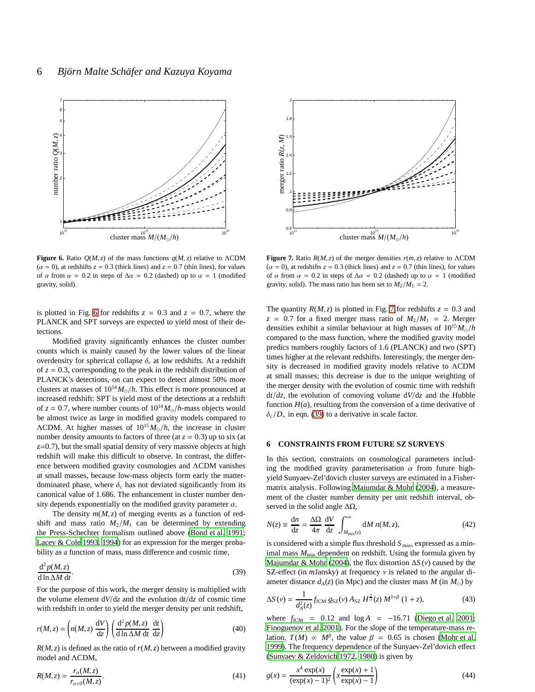

<span id="page-5-1"></span>**Figure 6.** Ratio  $Q(M, z)$  of the mass functions  $q(M, z)$  relative to ΛCDM  $(\alpha = 0)$ , at redshifts  $z = 0.3$  (thick lines) and  $z = 0.7$  (thin lines), for values of  $\alpha$  from  $\alpha = 0.2$  in steps of  $\Delta \alpha = 0.2$  (dashed) up to  $\alpha = 1$  (modified gravity, solid).

is plotted in Fig. [6](#page-5-1) for redshifts  $z = 0.3$  and  $z = 0.7$ , where the PLANCK and SPT surveys are expected to yield most of their detections.

Modified gravity significantly enhances the cluster number counts which is mainly caused by the lower values of the linear overdensity for spherical collapse  $\delta_c$  at low redshifts. At a redshift of  $z = 0.3$ , corresponding to the peak in the redshift distribution of PLANCK's detections, on can expect to detect almost 50% more clusters at masses of  $10^{14} M_{\odot}/h$ . This effect is more pronounced at increased redshift: SPT is yield most of the detections at a redshift of  $z = 0.7$ , where number counts of  $10^{14} M_{\odot}/h$ -mass objects would be almost twice as large in modified gravity models compared to ΛCDM. At higher masses of 10<sup>15</sup>*M*⊙/*h*, the increase in cluster number density amounts to factors of three (at  $z = 0.3$ ) up to six (at z=0.7), but the small spatial density of very massive objects at high redshift will make this difficult to observe. In contrast, the difference between modified gravity cosmologies and ΛCDM vanishes at small masses, because low-mass objects form early the matterdominated phase, where  $\delta_c$  has not deviated significantly from its canonical value of 1.686. The enhancement in cluster number density depends exponentially on the modified gravity parameter  $\alpha$ .

The density  $m(M, z)$  of merging events as a function of redshift and mass ratio  $M_2/M_1$  can be determined by extending the Press-Schechter formalism outlined above [\(Bond et al. 1991;](#page-9-25) [Lacey & Cole 1993](#page-9-26), [1994](#page-9-27)) for an expression for the merger probability as a function of mass, mass difference and cosmic time,

<span id="page-5-3"></span>
$$
\frac{d^2 p(M, z)}{d \ln \Delta M dt}.
$$
 (39)

For the purpose of this work, the merger density is multiplied with the volume element  $dV/dz$  and the evolution  $dt/dz$  of cosmic time with redshift in order to yield the merger density per unit redshift,

$$
r(M, z) = \left( n(M, z) \frac{dV}{dz} \right) \left( \frac{d^2 p(M, z)}{d \ln \Delta M \, dt} \frac{dt}{dz} \right)
$$
(40)

 $R(M, z)$  is defined as the ratio of  $r(M, z)$  between a modified gravity model and ΛCDM,

$$
R(M, z) = \frac{r_{\alpha}(M, z)}{r_{\alpha=0}(M, z)}.
$$
\n(41)



<span id="page-5-2"></span>**Figure 7.** Ratio  $R(M, z)$  of the merger densities  $r(m, z)$  relative to  $\Lambda$ CDM  $(\alpha = 0)$ , at redshifts  $z = 0.3$  (thick lines) and  $z = 0.7$  (thin lines), for values of  $\alpha$  from  $\alpha = 0.2$  in steps of  $\Delta \alpha = 0.2$  (dashed) up to  $\alpha = 1$  (modified gravity, solid). The mass ratio has been set to  $M_2/M_1 = 2$ .

The quantity  $R(M, z)$  is plotted in Fig. [7](#page-5-2) for redshifts  $z = 0.3$  and  $z = 0.7$  for a fixed merger mass ratio of  $M_2/M_1 = 2$ . Merger densities exhibit a similar behaviour at high masses of 10<sup>15</sup>*M*⊙/*h* compared to the mass function, where the modified gravity model predics numbers roughly factors of 1.6 (PLANCK) and two (SPT) times higher at the relevant redshifts. Interestingly, the merger density is decreased in modified gravity models relative to ΛCDM at small masses; this decrease is due to the unique weighting of the merger density with the evolution of cosmic time with redshift d*t*/*dz*, the evolution of comoving volume d*V*/d*z* and the Hubble function  $H(a)$ , resulting from the conversion of a time derivative of  $\delta_c/D_+$  in eqn. [\(39\)](#page-5-3) to a derivative in scale factor.

#### <span id="page-5-0"></span>**6 CONSTRAINTS FROM FUTURE SZ SURVEYS**

In this section, constraints on cosmological parameters including the modified gravity parameterisation  $\alpha$  from future highyield Sunyaev-Zel'dovich cluster surveys are estimated in a Fishermatrix analysis. Following [Majumdar & Mohr \(2004\)](#page-9-28), a measurement of the cluster number density per unit redshift interval, observed in the solid angle  $\Delta\Omega$ ,

<span id="page-5-4"></span>
$$
N(z) \equiv \frac{\mathrm{d}n}{\mathrm{d}z} = \frac{\Delta\Omega}{4\pi} \frac{\mathrm{d}V}{\mathrm{d}z} \int_{M_{\rm min}(z)}^{\infty} \mathrm{d}M \, n(M, z), \tag{42}
$$

is considered with a simple flux threshold  $S_{\text{min}}$ , expressed as a minimal mass  $M_{\text{min}}$  dependent on redshift. Using the formula given by [Majumdar & Mohr \(2004](#page-9-28)), the flux distortion ∆*S* (ν) caused by the SZ-effect (in *m*Jansky) at frequency ν is related to the angular diameter distance  $d_A(z)$  (in Mpc) and the cluster mass  $M$  (in  $M_{\odot}$ ) by

$$
\Delta S\left(v\right) = \frac{1}{d_A^2(z)} f_{\rm ICM} \, g_{\rm SZ}(v) \, A_{\rm SZ} \, H^{\frac{2}{3}}(z) \, M^{1+\beta} \left(1+z\right),\tag{43}
$$

where  $f_{\text{ICM}} = 0.12$  and  $\log A = -16.71$  [\(Diego et al. 2001;](#page-9-29) [Finoguenov et al. 2001\)](#page-9-30). For the slope of the temperature-mass relation,  $T(M) \propto M^{\beta}$ , the value  $\beta = 0.65$  is chosen [\(Mohr et al.](#page-9-31) [1999](#page-9-31)). The frequency dependence of the Sunyaev-Zel'dovich effect [\(Sunyaev & Zeldovich 1972](#page-9-32), [1980\)](#page-9-33) is given by

$$
g(x) = \frac{x^4 \exp(x)}{(\exp(x) - 1)^2} \left( x \frac{\exp(x) + 1}{\exp(x) - 1} \right)
$$
(44)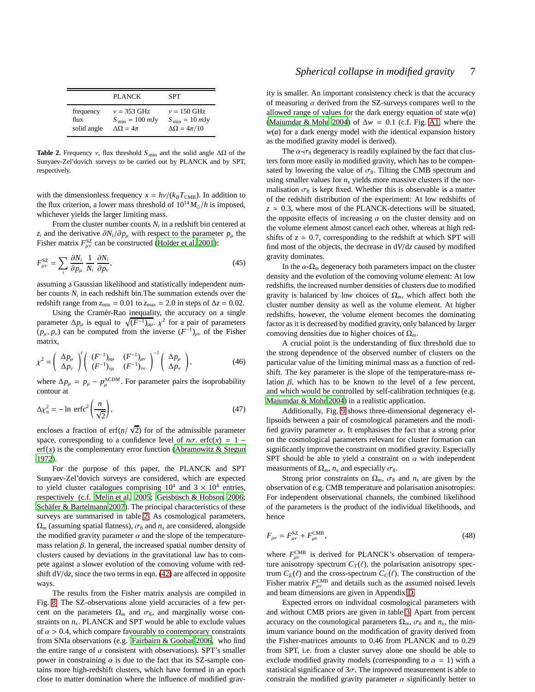|             | PLANCK                             | SPT                               |
|-------------|------------------------------------|-----------------------------------|
| frequency   | $v = 353 \text{ GHz}$              | $v = 150$ GHz                     |
| flux        | $S_{\text{min}} = 100 \text{ mJy}$ | $S_{\text{min}} = 10 \text{ mJy}$ |
| solid angle | $\Delta\Omega = 4\pi$              | $\Delta\Omega = 4\pi/10$          |

<span id="page-6-0"></span>**Table 2.** Frequency ν, flux threshold *S* min and the solid angle ∆Ω of the Sunyaev-Zel'dovich surveys to be carried out by PLANCK and by SPT, respectively.

with the dimensionless frequency  $x = h\nu/(k_B T_{\text{CMB}})$ . In addition to the flux criterion, a lower mass threshold of  $10^{14} M_{\odot}/h$  is imposed, whichever yields the larger limiting mass.

From the cluster number counts  $N_i$  in a redshift bin centered at *z*<sub>*i*</sub> and the derivative  $\partial N_i/\partial p_\mu$  with respect to the parameter  $p_\mu$  the Fisher matrix  $F_{\mu\nu}^{SZ}$  can be constructed [\(Holder et al. 2001](#page-9-34)):

$$
F_{\mu\nu}^{\rm SZ} = \sum_{i} \frac{\partial N_i}{\partial p_{\mu}} \frac{1}{N_i} \frac{\partial N_i}{\partial p_{\nu}},\tag{45}
$$

assuming a Gaussian likelihood and statistically independent number counts  $N_i$  in each redshift bin. The summation extends over the redshift range from  $z_{\text{min}} = 0.01$  to  $z_{\text{max}} = 2.0$  in steps of  $\Delta z = 0.02$ .

Using the Cramér-Rao inequality, the accuracy on a single parameter  $\Delta p_{\mu}$  is equal to  $\sqrt{(F^{-1})_{\mu\mu}}$ .  $\chi^2$  for a pair of parameters  $(p_{\mu}, p_{\nu})$  can be computed from the inverse  $(F^{-1})_{\mu\nu}$  of the Fisher matrix,

$$
\chi^2 = \left(\begin{array}{c} \Delta p_\mu \\ \Delta p_\nu \end{array}\right)' \left(\begin{array}{cc} (F^{-1})_{\mu\mu} & (F^{-1})_{\mu\nu} \\ (F^{-1})_{\nu\mu} & (F^{-1})_{\nu\nu} \end{array}\right)^{-1} \left(\begin{array}{c} \Delta p_\mu \\ \Delta p_\nu \end{array}\right),\tag{46}
$$

where  $\Delta p_{\mu} = p_{\mu} - p_{\mu}^{\Lambda CDM}$ . For parameter pairs the isoprobability contour at

$$
\Delta \chi_n^2 = -\ln \, \text{erfc}^2 \left( \frac{n}{\sqrt{2}} \right),\tag{47}
$$

encloses a fraction of  $\text{erf}(n/\sqrt{2})$  for of the admissible parameter space, corresponding to a confidence level of  $n\sigma$ . erfc(x) = 1 –  $erf(x)$  is the complementary error function [\(Abramowitz & Stegun](#page-8-2) [1972](#page-8-2)).

For the purpose of this paper, the PLANCK and SPT Sunyaev-Zel'dovich surveys are considered, which are expected to yield cluster catalogues comprising  $10^4$  and  $3 \times 10^4$  entries, respectively (c.f. [Melin et al. 2005](#page-9-35); Geisbüsch & Hobson 2006; Schäfer  $&$  Bartelmann 2007). The principal characteristics of these surveys are summarised in table [2.](#page-6-0) As cosmological parameters,  $\Omega_m$  (assuming spatial flatness),  $\sigma_8$  and  $n_s$  are considered, alongside the modified gravity parameter  $\alpha$  and the slope of the temperaturemass relation  $\beta$ . In general, the increased spatial number density of clusters caused by deviations in the gravitational law has to compete against a slower evolution of the comoving volume with redshift d*V*/d*z*, since the two terms in eqn. [\(42\)](#page-5-4) are affected in opposite ways.

The results from the Fisher matrix analysis are compiled in Fig. [8.](#page-7-0) The SZ-observations alone yield accuracies of a few percent on the parameters  $\Omega_m$  and  $\sigma_8$ , and marginally worse constraints on *n<sup>s</sup>* . PLANCK and SPT would be able to exclude values of  $\alpha > 0.4$ , which compare favourably to contemporary constraints from SNIa observations (e.g. [Fairbairn & Goobar 2006](#page-9-38), who find the entire range of  $\alpha$  consistent with observations). SPT's smaller power in constraining  $\alpha$  is due to the fact that its SZ-sample contains more high-redshift clusters, which have formed in an epoch close to matter domination where the influence of modified gravity is smaller. An important consistency check is that the accuracy of measuring  $\alpha$  derived from the SZ-surveys compares well to the allowed range of values for the dark energy equation of state  $w(a)$ [\(Majumdar & Mohr 2004](#page-9-28)) of ∆*w* = 0.1 (c.f. Fig. [A1,](#page-10-2) where the  $w(a)$  for a dark energy model with the identical expansion history as the modified gravity model is derived).

The  $\alpha$ - $\sigma_8$  degeneracy is readily explained by the fact that clusters form more easily in modified gravity, which has to be compensated by lowering the value of  $\sigma_8$ . Tilting the CMB spectrum and using smaller values for  $n<sub>s</sub>$  yields more massive clusters if the normalisation  $\sigma_8$  is kept fixed. Whether this is observable is a matter of the redshift distribution of the experiment: At low redshifts of  $z \approx 0.3$ , where most of the PLANCK-detections will be situated, the opposite effects of increasing  $\alpha$  on the cluster density and on the volume element almost cancel each other, whereas at high redshifts of  $z \approx 0.7$ , corresponding to the redshift at which SPT will find most of the objects, the decrease in d*V*/d*z* caused by modified gravity dominates.

In the  $\alpha$ - $\Omega_m$  degeneracy both parameters impact on the cluster density and the evolution of the comoving volume element: At low redshifts, the increased number densities of clusters due to modified gravity is balanced by low choices of  $\Omega_m$ , which affect both the cluster number density as well as the volume element. At higher redshifts, however, the volume element becomes the dominating factor as it is decreased by modified gravity, only balanced by larger comoving densities due to higher choices of Ω*m*.

A crucial point is the understanding of flux threshold due to the strong dependence of the observed number of clusters on the particular value of the limiting minimal mass as a function of redshift. The key parameter is the slope of the temperature-mass relation β, which has to be known to the level of a few percent, and which would be controlled by self-calibration techniques (e.g. [Majumdar & Mohr 2004](#page-9-28)) in a realistic application.

Additionally, Fig. [9](#page-7-1) shows three-dimensional degeneracy ellipsoids between a pair of cosmological parameters and the modified gravity parameter  $\alpha$ . It emphasises the fact that a strong prior on the cosmological parameters relevant for cluster formation can significantly improve the constraint on modified gravity. Especially SPT should be able to yield a constraint on  $\alpha$  with independent measurments of  $\Omega_m$ ,  $n_s$  and especially  $\sigma_8$ .

Strong prior constraints on  $\Omega_m$ ,  $\sigma_8$  and  $n_s$  are given by the observation of e.g. CMB temperature and polarisation anisotropies: For independent observational channels, the combined likelihood of the parameters is the product of the individual likelihoods, and hence

$$
F_{\mu\nu} = F_{\mu\nu}^{\rm SZ} + F_{\mu\nu}^{\rm CMB},\tag{48}
$$

where  $F_{\mu\nu}^{\text{CMB}}$  is derived for PLANCK's observation of temperature anisotropy spectrum  $C_T(\ell)$ , the polarisation anisotropy spectrum  $C_E(\ell)$  and the cross-spectrum  $C_C(\ell)$ . The construction of the Fisher matrix  $F_{\mu\nu}^{\text{CMB}}$  and details such as the assumed noised levels and beam dimensions are given in Appendix [D.](#page-11-1)

Expected errors on individual cosmological parameters with and without CMB priors are given in table [3.](#page-8-3) Apart from percent accuracy on the cosmological parameters  $\Omega_m$ ,  $\sigma_8$  and  $n_s$ , the minimum variance bound on the modification of gravity derived from the Fisher-matrices amounts to 0.46 from PLANCK and to 0.29 from SPT, i.e. from a cluster survey alone one should be able to exclude modified gravity models (corresponding to  $\alpha = 1$ ) with a statistical significance of  $3\sigma$ . The improved measurement is able to constrain the modified gravity parameter  $\alpha$  significantly better to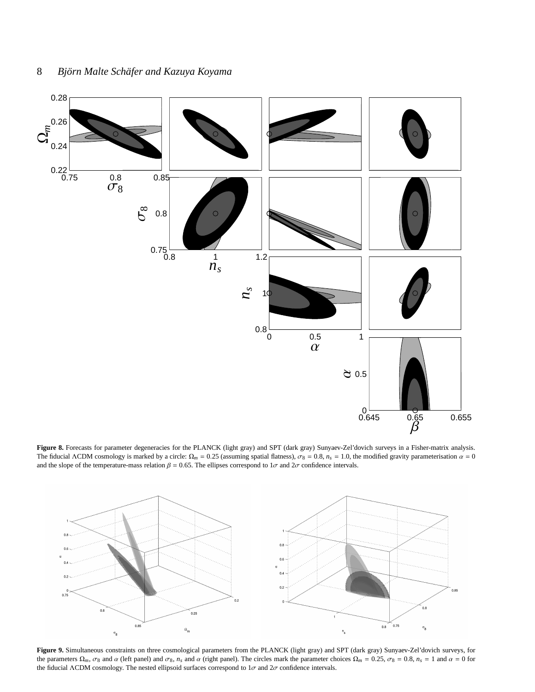

<span id="page-7-0"></span>**Figure 8.** Forecasts for parameter degeneracies for the PLANCK (light gray) and SPT (dark gray) Sunyaev-Zel'dovich surveys in a Fisher-matrix analysis. The fiducial ΛCDM cosmology is marked by a circle:  $\Omega_m = 0.25$  (assuming spatial flatness),  $\sigma_8 = 0.8$ ,  $n_s = 1.0$ , the modified gravity parameterisation  $\alpha = 0$ and the slope of the temperature-mass relation  $\beta = 0.65$ . The ellipses correspond to  $1\sigma$  and  $2\sigma$  confidence intervals.



<span id="page-7-1"></span>**Figure 9.** Simultaneous constraints on three cosmological parameters from the PLANCK (light gray) and SPT (dark gray) Sunyaev-Zel'dovich surveys, for the parameters  $\Omega_m$ ,  $\sigma_8$  and  $\alpha$  (left panel) and  $\sigma_8$ ,  $n_s$  and  $\alpha$  (right panel). The circles mark the parameter choices  $\Omega_m = 0.25$ ,  $\sigma_8 = 0.8$ ,  $n_s = 1$  and  $\alpha = 0$  for the fiducial ΛCDM cosmology. The nested ellipsoid surfaces correspond to  $1\sigma$  and  $2\sigma$  confidence intervals.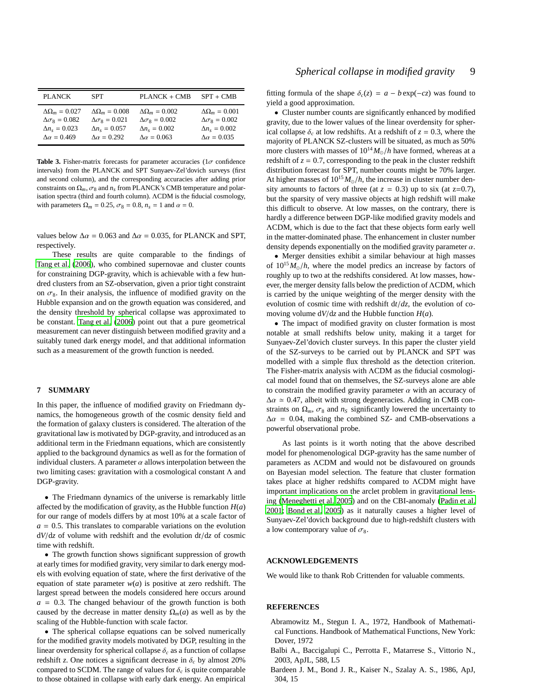| <b>PLANCK</b>             | <b>SPT</b>                           | $PLANCK + CMB$            | $SPT + CMB$               |
|---------------------------|--------------------------------------|---------------------------|---------------------------|
| $\Delta\Omega_m = 0.027$  | $\Delta\Omega_m = 0.008$             | $\Delta\Omega_m = 0.002$  | $\Delta\Omega_m = 0.001$  |
| $\Delta \sigma_8 = 0.082$ | $\Delta \sigma$ <sub>8</sub> = 0.021 | $\Delta \sigma_8 = 0.002$ | $\Delta \sigma_8 = 0.002$ |
| $\Delta n_s = 0.023$      | $\Delta n_s = 0.057$                 | $\Delta n_s = 0.002$      | $\Delta n_s = 0.002$      |
| $\Delta \alpha = 0.469$   | $\Delta \alpha = 0.292$              | $\Delta \alpha = 0.063$   | $\Delta \alpha = 0.035$   |

<span id="page-8-3"></span>**Table 3.** Fisher-matrix forecasts for parameter accuracies ( $1\sigma$  confidence intervals) from the PLANCK and SPT Sunyaev-Zel'dovich surveys (first and second column), and the corresponding accuracies after adding prior constraints on  $\Omega_m$ ,  $\sigma_8$  and  $n_s$  from PLANCK's CMB temperature and polarisation spectra (third and fourth column). ΛCDM is the fiducial cosmology, with parameters  $\Omega_m = 0.25$ ,  $\sigma_8 = 0.8$ ,  $n_s = 1$  and  $\alpha = 0$ .

values below  $\Delta \alpha = 0.063$  and  $\Delta \alpha = 0.035$ , for PLANCK and SPT, respectively.

These results are quite comparable to the findings of [Tang et al. \(2006\)](#page-9-39), who combined supernovae and cluster counts for constraining DGP-gravity, which is achievable with a few hundred clusters from an SZ-observation, given a prior tight constraint on  $\sigma_8$ . In their analysis, the influence of modified gravity on the Hubble expansion and on the growth equation was considered, and the density threshold by spherical collapse was approximated to be constant. [Tang et al.](#page-9-39) [\(2006](#page-9-39)) point out that a pure geometrical measurement can never distinguish between modified gravity and a suitably tuned dark energy model, and that additional information such as a measurement of the growth function is needed.

## <span id="page-8-0"></span>**7 SUMMARY**

In this paper, the influence of modified gravity on Friedmann dynamics, the homogeneous growth of the cosmic density field and the formation of galaxy clusters is considered. The alteration of the gravitational law is motivated by DGP-gravity, and introduced as an additional term in the Friedmann equations, which are consistently applied to the background dynamics as well as for the formation of individual clusters. A parameter  $\alpha$  allows interpolation between the two limiting cases: gravitation with a cosmological constant Λ and DGP-gravity.

• The Friedmann dynamics of the universe is remarkably little affected by the modification of gravity, as the Hubble function  $H(a)$ for our range of models differs by at most 10% at a scale factor of  $a = 0.5$ . This translates to comparable variations on the evolution d*V*/d*z* of volume with redshift and the evolution d*t*/d*z* of cosmic time with redshift.

• The growth function shows significant suppression of growth at early times for modified gravity, very similar to dark energy models with evolving equation of state, where the first derivative of the equation of state parameter  $w(a)$  is positive at zero redshift. The largest spread between the models considered here occurs around  $a = 0.3$ . The changed behaviour of the growth function is both caused by the decrease in matter density  $\Omega_m(a)$  as well as by the scaling of the Hubble-function with scale factor.

• The spherical collapse equations can be solved numerically for the modified gravity models motivated by DGP, resulting in the linear overdensity for spherical collapse  $\delta_c$  as a function of collapse redshift *z*. One notices a significant decrease in  $\delta_c$  by almost 20% compared to SCDM. The range of values for  $\delta_c$  is quite comparable to those obtained in collapse with early dark energy. An empirical fitting formula of the shape  $\delta_c(z) = a - b \exp(-cz)$  was found to yield a good approximation.

• Cluster number counts are significantly enhanced by modified gravity, due to the lower values of the linear overdensity for spherical collapse  $\delta_c$  at low redshifts. At a redshift of  $z = 0.3$ , where the majority of PLANCK SZ-clusters will be situated, as much as 50% more clusters with masses of  $10^{14} M_{\odot}/h$  have formed, whereas at a redshift of  $z = 0.7$ , corresponding to the peak in the cluster redshift distribution forecast for SPT, number counts might be 70% larger. At higher masses of  $10^{15} M_{\odot}/h$ , the increase in cluster number density amounts to factors of three (at  $z = 0.3$ ) up to six (at  $z=0.7$ ), but the sparsity of very massive objects at high redshift will make this difficult to observe. At low masses, on the contrary, there is hardly a difference between DGP-like modified gravity models and ΛCDM, which is due to the fact that these objects form early well in the matter-dominated phase. The enhancement in cluster number density depends exponentially on the modified gravity parameter  $\alpha$ .

• Merger densities exhibit a similar behaviour at high masses of  $10^{15} M_{\odot}/h$ , where the model predics an increase by factors of roughly up to two at the redshifts considered. At low masses, however, the merger density falls below the prediction of ΛCDM, which is carried by the unique weighting of the merger density with the evolution of cosmic time with redshift d*t*/*dz*, the evolution of comoving volume d*V*/d*z* and the Hubble function *H*(*a*).

• The impact of modified gravity on cluster formation is most notable at small redshifts below unity, making it a target for Sunyaev-Zel'dovich cluster surveys. In this paper the cluster yield of the SZ-surveys to be carried out by PLANCK and SPT was modelled with a simple flux threshold as the detection criterion. The Fisher-matrix analysis with ΛCDM as the fiducial cosmological model found that on themselves, the SZ-surveys alone are able to constrain the modified gravity parameter  $\alpha$  with an accuracy of  $\Delta \alpha \simeq 0.47$ , albeit with strong degeneracies. Adding in CMB constraints on  $\Omega_m$ ,  $\sigma_8$  and  $n_s$  significantly lowered the uncertainty to  $\Delta \alpha$  = 0.04, making the combined SZ- and CMB-observations a powerful observational probe.

As last points is it worth noting that the above described model for phenomenological DGP-gravity has the same number of parameters as ΛCDM and would not be disfavoured on grounds on Bayesian model selection. The feature that cluster formation takes place at higher redshifts compared to ΛCDM might have important implications on the arclet problem in gravitational lensing [\(Meneghetti et al. 2005](#page-9-40)) and on the CBI-anomaly [\(Padin et](#page-9-41) al. [2001](#page-9-41); [Bond et al. 2005](#page-9-42)) as it naturally causes a higher level of Sunyaev-Zel'dovich background due to high-redshift clusters with a low contemporary value of  $\sigma_8$ .

## **ACKNOWLEDGEMENTS**

We would like to thank Rob Crittenden for valuable comments.

#### **REFERENCES**

- <span id="page-8-2"></span>Abramowitz M., Stegun I. A., 1972, Handbook of Mathematical Functions. Handbook of Mathematical Functions, New York: Dover, 1972
- <span id="page-8-4"></span>Balbi A., Baccigalupi C., Perrotta F., Matarrese S., Vittorio N., 2003, ApJL, 588, L5
- <span id="page-8-1"></span>Bardeen J. M., Bond J. R., Kaiser N., Szalay A. S., 1986, ApJ, 304, 15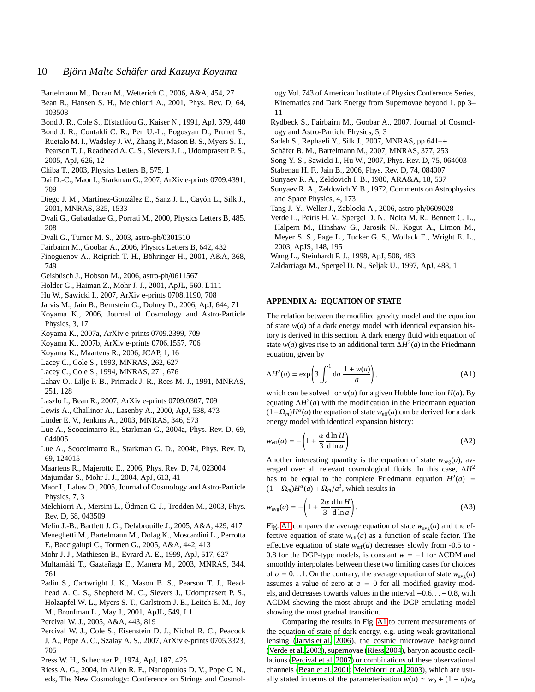- <span id="page-9-19"></span>Bartelmann M., Doran M., Wetterich C., 2006, A&A, 454, 27
- <span id="page-9-47"></span>Bean R., Hansen S. H., Melchiorri A., 2001, Phys. Rev. D, 64, 103508
- <span id="page-9-25"></span>Bond J. R., Cole S., Efstathiou G., Kaiser N., 1991, ApJ, 379, 440
- <span id="page-9-42"></span>Bond J. R., Contaldi C. R., Pen U.-L., Pogosyan D., Prunet S., Ruetalo M. I., Wadsley J. W., Zhang P., Mason B. S., Myers S. T., Pearson T. J., Readhead A. C. S., Sievers J. L., Udomprasert P. S., 2005, ApJ, 626, 12
- <span id="page-9-2"></span>Chiba T., 2003, Physics Letters B, 575, 1
- <span id="page-9-21"></span>Dai D.-C., Maor I., Starkman G., 2007, ArXiv e-prints 0709.4391, 709
- <span id="page-9-29"></span>Diego J. M., Martínez-González E., Sanz J. L., Cayón L., Silk J., 2001, MNRAS, 325, 1533
- <span id="page-9-0"></span>Dvali G., Gabadadze G., Porrati M., 2000, Physics Letters B, 485, 208
- <span id="page-9-13"></span>Dvali G., Turner M. S., 2003, astro-ph/0301510
- <span id="page-9-38"></span>Fairbairn M., Goobar A., 2006, Physics Letters B, 642, 432
- <span id="page-9-30"></span>Finoguenov A., Reiprich T. H., Böhringer H., 2001, A&A, 368, 749
- <span id="page-9-36"></span>Geisbüsch J., Hobson M., 2006, astro-ph/0611567
- <span id="page-9-34"></span>Holder G., Haiman Z., Mohr J. J., 2001, ApJL, 560, L111
- <span id="page-9-10"></span>Hu W., Sawicki I., 2007, ArXiv e-prints 0708.1190, 708
- <span id="page-9-43"></span>Jarvis M., Jain B., Bernstein G., Dolney D., 2006, ApJ, 644, 71
- <span id="page-9-14"></span>Koyama K., 2006, Journal of Cosmology and Astro-Particle Physics, 3, 17
- <span id="page-9-1"></span>Koyama K., 2007a, ArXiv e-prints 0709.2399, 709
- <span id="page-9-9"></span>Koyama K., 2007b, ArXiv e-prints 0706.1557, 706
- <span id="page-9-8"></span>Koyama K., Maartens R., 2006, JCAP, 1, 16
- <span id="page-9-26"></span>Lacey C., Cole S., 1993, MNRAS, 262, 627
- <span id="page-9-27"></span>Lacey C., Cole S., 1994, MNRAS, 271, 676
- <span id="page-9-15"></span>Lahav O., Lilje P. B., Primack J. R., Rees M. J., 1991, MNRAS, 251, 128
- <span id="page-9-12"></span>Laszlo I., Bean R., 2007, ArXiv e-prints 0709.0307, 709
- <span id="page-9-51"></span>Lewis A., Challinor A., Lasenby A., 2000, ApJ, 538, 473
- <span id="page-9-49"></span>Linder E. V., Jenkins A., 2003, MNRAS, 346, 573
- <span id="page-9-3"></span>Lue A., Scoccimarro R., Starkman G., 2004a, Phys. Rev. D, 69, 044005
- <span id="page-9-4"></span>Lue A., Scoccimarro R., Starkman G. D., 2004b, Phys. Rev. D, 69, 124015
- <span id="page-9-7"></span>Maartens R., Majerotto E., 2006, Phys. Rev. D, 74, 023004
- <span id="page-9-28"></span>Majumdar S., Mohr J. J., 2004, ApJ, 613, 41
- <span id="page-9-20"></span>Maor I., Lahav O., 2005, Journal of Cosmology and Astro-Particle Physics, 7, 3
- <span id="page-9-48"></span>Melchiorri A., Mersini L., Ödman C. J., Trodden M., 2003, Phys. Rev. D, 68, 043509
- <span id="page-9-35"></span>Melin J.-B., Bartlett J. G., Delabrouille J., 2005, A&A, 429, 417
- <span id="page-9-40"></span>Meneghetti M., Bartelmann M., Dolag K., Moscardini L., Perrotta F., Baccigalupi C., Tormen G., 2005, A&A, 442, 413
- <span id="page-9-31"></span>Mohr J. J., Mathiesen B., Evrard A. E., 1999, ApJ, 517, 627
- <span id="page-9-16"></span>Multamäki T., Gaztañaga E., Manera M., 2003, MNRAS, 344, 761
- <span id="page-9-41"></span>Padin S., Cartwright J. K., Mason B. S., Pearson T. J., Readhead A. C. S., Shepherd M. C., Sievers J., Udomprasert P. S., Holzapfel W. L., Myers S. T., Carlstrom J. E., Leitch E. M., Joy M., Bronfman L., May J., 2001, ApJL, 549, L1
- <span id="page-9-18"></span>Percival W. J., 2005, A&A, 443, 819
- <span id="page-9-46"></span>Percival W. J., Cole S., Eisenstein D. J., Nichol R. C., Peacock J. A., Pope A. C., Szalay A. S., 2007, ArXiv e-prints 0705.3323, 705
- <span id="page-9-24"></span>Press W. H., Schechter P., 1974, ApJ, 187, 425
- <span id="page-9-45"></span>Riess A. G., 2004, in Allen R. E., Nanopoulos D. V., Pope C. N., eds, The New Cosmology: Conference on Strings and Cosmol-

ogy Vol. 743 of American Institute of Physics Conference Series, Kinematics and Dark Energy from Supernovae beyond 1. pp 3– 11

- <span id="page-9-6"></span>Rydbeck S., Fairbairn M., Goobar A., 2007, Journal of Cosmology and Astro-Particle Physics, 5, 3
- <span id="page-9-23"></span>Sadeh S., Rephaeli Y., Silk J., 2007, MNRAS, pp 641–+
- <span id="page-9-37"></span>Schäfer B. M., Bartelmann M., 2007, MNRAS, 377, 253
- <span id="page-9-5"></span>Song Y.-S., Sawicki I., Hu W., 2007, Phys. Rev. D, 75, 064003
- <span id="page-9-11"></span>Stabenau H. F., Jain B., 2006, Phys. Rev. D, 74, 084007
- <span id="page-9-33"></span>Sunyaev R. A., Zeldovich I. B., 1980, ARA&A, 18, 537
- <span id="page-9-32"></span>Sunyaev R. A., Zeldovich Y. B., 1972, Comments on Astrophysics and Space Physics, 4, 173
- <span id="page-9-39"></span>Tang J.-Y., Weller J., Zablocki A., 2006, astro-ph/0609028
- <span id="page-9-44"></span>Verde L., Peiris H. V., Spergel D. N., Nolta M. R., Bennett C. L.,
- Halpern M., Hinshaw G., Jarosik N., Kogut A., Limon M., Meyer S. S., Page L., Tucker G. S., Wollack E., Wright E. L., 2003, ApJS, 148, 195
- <span id="page-9-17"></span>Wang L., Steinhardt P. J., 1998, ApJ, 508, 483
- <span id="page-9-50"></span>Zaldarriaga M., Spergel D. N., Seljak U., 1997, ApJ, 488, 1

#### <span id="page-9-22"></span>**APPENDIX A: EQUATION OF STATE**

The relation between the modified gravity model and the equation of state  $w(a)$  of a dark energy model with identical expansion history is derived in this section. A dark energy fluid with equation of state  $w(a)$  gives rise to an additional term  $\Delta H^2(a)$  in the Friedmann equation, given by

$$
\Delta H^2(a) = \exp\left(3 \int_a^1 da \frac{1 + w(a)}{a}\right),\tag{A1}
$$

which can be solved for  $w(a)$  for a given Hubble function  $H(a)$ . By equating  $\Delta H^2(a)$  with the modification in the Friedmann equation  $(1 - \Omega_m)H^{\alpha}(a)$  the equation of state  $w_{\text{eff}}(a)$  can be derived for a dark energy model with identical expansion history:

$$
w_{\text{eff}}(a) = -\left(1 + \frac{\alpha}{3} \frac{\mathrm{d}\ln H}{\mathrm{d}\ln a}\right). \tag{A2}
$$

Another interesting quantity is the equation of state  $w_{avg}(a)$ , averaged over all relevant cosmological fluids. In this case, ∆*H* 2 has to be equal to the complete Friedmann equation  $H^2(a)$  =  $(1 - \Omega_m)H^{\alpha}(a) + \Omega_m/a^3$ , which results in

$$
w_{\text{avg}}(a) = -\left(1 + \frac{2\alpha}{3} \frac{\text{d}\ln H}{\text{d}\ln a}\right). \tag{A3}
$$

Fig. [A1](#page-10-2) compares the average equation of state  $w_{avg}(a)$  and the effective equation of state  $w_{\text{eff}}(a)$  as a function of scale factor. The effective equation of state  $w_{\text{eff}}(a)$  decreases slowly from -0.5 to -0.8 for the DGP-type models, is constant *w* = −1 for ΛCDM and smoothly interpolates between these two limiting cases for choices of  $\alpha = 0$ ...1. On the contrary, the average equation of state  $w_{\text{avg}}(a)$ assumes a value of zero at  $a = 0$  for all modified gravity models, and decreases towards values in the interval −0.6. . . − 0.8, with ΛCDM showing the most abrupt and the DGP-emulating model showing the most gradual transition.

Comparing the results in Fig. [A1](#page-10-2) to current measurements of the equation of state of dark energy, e.g. using weak gravitational lensing [\(Jarvis et al. 2006](#page-9-43)), the cosmic microwave background [\(Verde et al. 2003](#page-9-44)), supernovae [\(Riess 2004](#page-9-45)), baryon acoustic oscillations [\(Percival et al. 2007](#page-9-46)) or combinations of these observational channels [\(Bean et al. 2001](#page-9-47); [Melchiorri et al. 2003](#page-9-48)), which are usually stated in terms of the parameterisation  $w(a) \approx w_0 + (1 - a)w_a$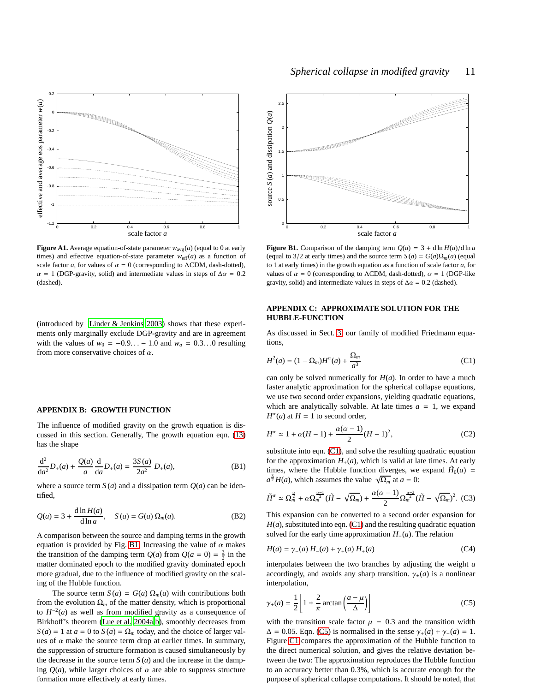

<span id="page-10-2"></span>**Figure A1.** Average equation-of-state parameter  $w_{avg}(a)$  (equal to 0 at early times) and effective equation-of-state parameter  $w_{\text{eff}}(a)$  as a function of scale factor *a*, for values of  $\alpha = 0$  (corresponding to  $\Lambda$ CDM, dash-dotted),  $\alpha = 1$  (DGP-gravity, solid) and intermediate values in steps of  $\Delta \alpha = 0.2$ (dashed).

(introduced by [Linder & Jenkins 2003\)](#page-9-49) shows that these experiments only marginally exclude DGP-gravity and are in agreement with the values of  $w_0 = -0.9... - 1.0$  and  $w_a = 0.3...0$  resulting from more conservative choices of  $\alpha$ .

#### <span id="page-10-0"></span>**APPENDIX B: GROWTH FUNCTION**

The influence of modified gravity on the growth equation is discussed in this section. Generally, The growth equation eqn. [\(13\)](#page-2-3) has the shape

$$
\frac{d^2}{da^2}D_+(a) + \frac{Q(a)}{a}\frac{d}{da}D_+(a) = \frac{3S(a)}{2a^2}D_+(a),
$$
 (B1)

where a source term  $S(a)$  and a dissipation term  $Q(a)$  can be identified,

$$
Q(a) = 3 + \frac{\mathrm{d}\ln H(a)}{\mathrm{d}\ln a}, \quad S(a) = G(a)\,\Omega_m(a). \tag{B2}
$$

A comparison between the source and damping terms in the growth equation is provided by Fig. [B1:](#page-10-3) Increasing the value of  $\alpha$  makes the transition of the damping term  $Q(a)$  from  $Q(a = 0) = \frac{3}{2}$  in the matter dominated epoch to the modified gravity dominated epoch more gradual, due to the influence of modified gravity on the scaling of the Hubble function.

The source term  $S(a) = G(a) \Omega_m(a)$  with contributions both from the evolution  $\Omega_m$  of the matter density, which is proportional to  $H^{-2}(a)$  as well as from modified gravity as a consequence of Birkhoff's theorem [\(Lue et al. 2004a](#page-9-3)[,b](#page-9-4)), smoothly decreases from  $S(a) = 1$  at  $a = 0$  to  $S(a) = \Omega_m$  today, and the choice of larger values of  $\alpha$  make the source term drop at earlier times. In summary, the suppression of structure formation is caused simultaneously by the decrease in the source term  $S(a)$  and the increase in the damping  $Q(a)$ , while larger choices of  $\alpha$  are able to suppress structure formation more effectively at early times.



<span id="page-10-3"></span>**Figure B1.** Comparison of the damping term  $Q(a) = 3 + d \ln H(a)/d \ln a$ (equal to 3/2 at early times) and the source term  $S(a) = G(a)\Omega_m(a)$  (equal to 1 at early times) in the growth equation as a function of scale factor *a*, for values of  $\alpha = 0$  (corresponding to ACDM, dash-dotted),  $\alpha = 1$  (DGP-like gravity, solid) and intermediate values in steps of  $\Delta \alpha = 0.2$  (dashed).

## <span id="page-10-1"></span>**APPENDIX C: APPROXIMATE SOLUTION FOR THE HUBBLE-FUNCTION**

As discussed in Sect. [3,](#page-1-1) our family of modified Friedmann equations,

<span id="page-10-4"></span>
$$
H^2(a) = (1 - \Omega_m)H^{\alpha}(a) + \frac{\Omega_m}{a^3}
$$
 (C1)

can only be solved numerically for  $H(a)$ . In order to have a much faster analytic approximation for the spherical collapse equations, we use two second order expansions, yielding quadratic equations, which are analytically solvable. At late times  $a = 1$ , we expand  $H^{\alpha}(a)$  at  $H = 1$  to second order,

$$
H^{\alpha} \simeq 1 + \alpha (H - 1) + \frac{\alpha (\alpha - 1)}{2} (H - 1)^{2},
$$
 (C2)

substitute into eqn. [\(C1\)](#page-10-4), and solve the resulting quadratic equation for the approximation  $H_+(a)$ , which is valid at late times. At early times, where the Hubble function diverges, we expand  $H_0(a)$  =  $a^{\frac{3}{2}}H(a)$ , which assumes the value  $\sqrt{\Omega_m}$  at  $a = 0$ :

$$
\tilde{H}^{\alpha} \simeq \Omega_m^{\frac{\alpha}{2}} + \alpha \Omega_m^{\frac{\alpha-1}{2}} (\tilde{H} - \sqrt{\Omega_m}) + \frac{\alpha(\alpha-1)}{2} \Omega_m^{\frac{\alpha-2}{2}} (\tilde{H} - \sqrt{\Omega_m})^2. (C3)
$$

This expansion can be converted to a second order expansion for  $H(a)$ , substituted into eqn. [\(C1\)](#page-10-4) and the resulting quadratic equation solved for the early time approximation *H*−(*a*). The relation

$$
H(a) = \gamma_{-}(a) H_{-}(a) + \gamma_{+}(a) H_{+}(a)
$$
 (C4)

interpolates between the two branches by adjusting the weight *a* accordingly, and avoids any sharp transition.  $\gamma_{\pm}(a)$  is a nonlinear interpolation,

<span id="page-10-5"></span>
$$
\gamma_{\pm}(a) = \frac{1}{2} \left[ 1 \pm \frac{2}{\pi} \arctan\left(\frac{a-\mu}{\Delta}\right) \right]
$$
 (C5)

with the transition scale factor  $\mu = 0.3$  and the transition width  $\Delta = 0.05$ . Eqn. [\(C5\)](#page-10-5) is normalised in the sense  $\gamma_+(a) + \gamma_-(a) = 1$ . Figure [C1](#page-11-2) compares the approximation of the Hubble function to the direct numerical solution, and gives the relative deviation between the two: The approximation reproduces the Hubble function to an accuracy better than 0.3%, which is accurate enough for the purpose of spherical collapse computations. It should be noted, that